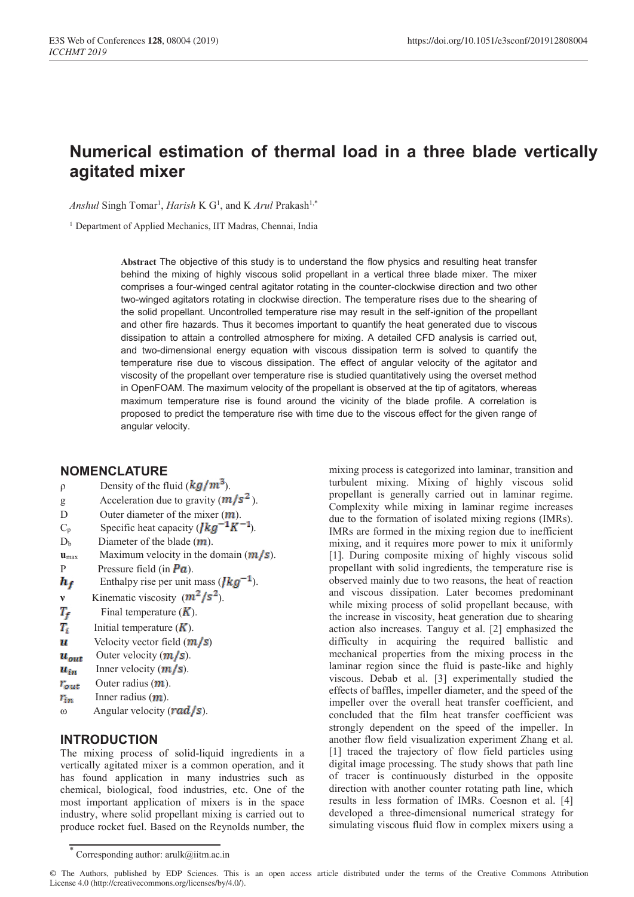# **Numerical estimation of thermal load in a three blade vertically agitated mixer**

*Anshul* Singh Tomar<sup>1</sup>, *Harish* K G<sup>1</sup>, and K *Arul* Prakash<sup>1,\*</sup>

<sup>1</sup> Department of Applied Mechanics, IIT Madras, Chennai, India

**Abstract** The objective of this study is to understand the flow physics and resulting heat transfer behind the mixing of highly viscous solid propellant in a vertical three blade mixer. The mixer comprises a four-winged central agitator rotating in the counter-clockwise direction and two other two-winged agitators rotating in clockwise direction. The temperature rises due to the shearing of the solid propellant. Uncontrolled temperature rise may result in the self-ignition of the propellant and other fire hazards. Thus it becomes important to quantify the heat generated due to viscous dissipation to attain a controlled atmosphere for mixing. A detailed CFD analysis is carried out, and two-dimensional energy equation with viscous dissipation term is solved to quantify the temperature rise due to viscous dissipation. The effect of angular velocity of the agitator and viscosity of the propellant over temperature rise is studied quantitatively using the overset method in OpenFOAM. The maximum velocity of the propellant is observed at the tip of agitators, whereas maximum temperature rise is found around the vicinity of the blade profile. A correlation is proposed to predict the temperature rise with time due to the viscous effect for the given range of angular velocity.

### **NOMENCLATURE**

| ρ                  | Density of the fluid $(kg/m^3)$ .                  |
|--------------------|----------------------------------------------------|
| g                  | Acceleration due to gravity $(m/s^2)$ .            |
| D                  | Outer diameter of the mixer $(m)$ .                |
| $C_p$              | Specific heat capacity ( $\int k g^{-1} K^{-1}$ ). |
| D <sub>b</sub>     | Diameter of the blade $(m)$ .                      |
| $u$ <sub>max</sub> | Maximum velocity in the domain $(m/s)$ .           |
| P                  | Pressure field (in $\overline{Pa}$ ).              |
| $h_f$              | Enthalpy rise per unit mass $(Ikg^{-1})$ .         |
| $\mathbf{v}$       | Kinematic viscosity $(m^2/s^2)$ .                  |
| $T_f$              | Final temperature $(K)$ .                          |
| $T_{\rm r}$        | Initial temperature $(K)$ .                        |
| и                  | Velocity vector field $(m/s)$                      |
| $\bm{u_{out}}$     | Outer velocity $(m/s)$ .                           |
| $u_{\mathrm{in}}$  | Inner velocity $(m/s)$ .                           |
| $r_{\rm out}$      | Outer radius $(m)$ .                               |
| $r_{in}$           | Inner radius $(m)$ .                               |
| $\omega$           | Angular velocity ( $rad/s$ ).                      |
|                    |                                                    |

## **INTRODUCTION**

The mixing process of solid-liquid ingredients in a vertically agitated mixer is a common operation, and it has found application in many industries such as chemical, biological, food industries, etc. One of the most important application of mixers is in the space industry, where solid propellant mixing is carried out to produce rocket fuel. Based on the Reynolds number, the

mixing process is categorized into laminar, transition and turbulent mixing. Mixing of highly viscous solid propellant is generally carried out in laminar regime. Complexity while mixing in laminar regime increases due to the formation of isolated mixing regions (IMRs). IMRs are formed in the mixing region due to inefficient mixing, and it requires more power to mix it uniformly [1]. During composite mixing of highly viscous solid propellant with solid ingredients, the temperature rise is observed mainly due to two reasons, the heat of reaction and viscous dissipation. Later becomes predominant while mixing process of solid propellant because, with the increase in viscosity, heat generation due to shearing action also increases. Tanguy et al. [2] emphasized the difficulty in acquiring the required ballistic and mechanical properties from the mixing process in the laminar region since the fluid is paste-like and highly viscous. Debab et al. [3] experimentally studied the effects of baffles, impeller diameter, and the speed of the impeller over the overall heat transfer coefficient, and concluded that the film heat transfer coefficient was strongly dependent on the speed of the impeller. In another flow field visualization experiment Zhang et al. [1] traced the trajectory of flow field particles using digital image processing. The study shows that path line of tracer is continuously disturbed in the opposite direction with another counter rotating path line, which results in less formation of IMRs. Coesnon et al. [4] developed a three-dimensional numerical strategy for simulating viscous fluid flow in complex mixers using a

Corresponding author:  $arulk@$ iitm.ac.in

<sup>©</sup> The Authors, published by EDP Sciences. This is an open access article distributed under the terms of the Creative Commons Attribution License 4.0 (http://creativecommons.org/licenses/by/4.0/).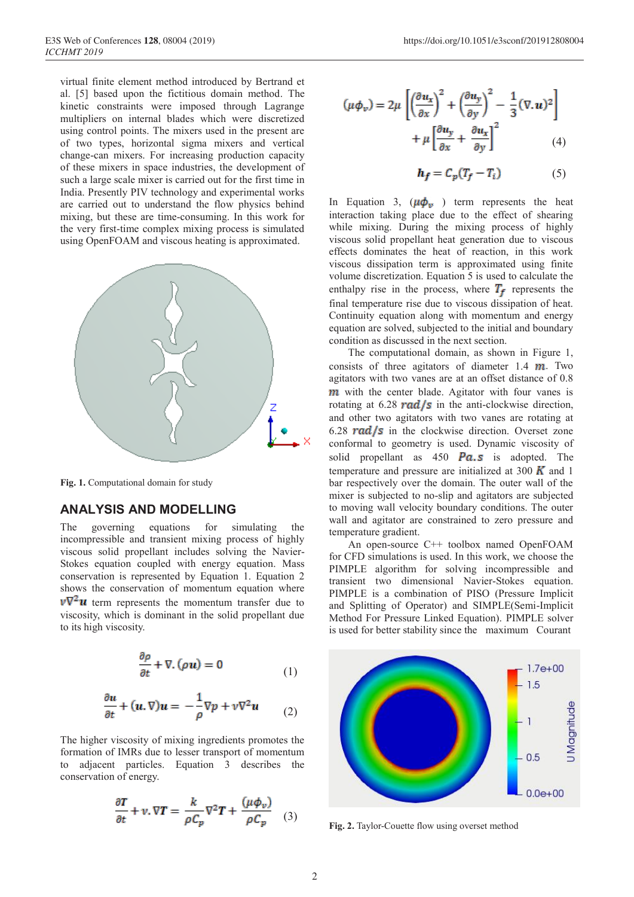virtual finite element method introduced by Bertrand et al. [5] based upon the fictitious domain method. The kinetic constraints were imposed through Lagrange multipliers on internal blades which were discretized using control points. The mixers used in the present are of two types, horizontal sigma mixers and vertical change-can mixers. For increasing production capacity of these mixers in space industries, the development of such a large scale mixer is carried out for the first time in India. Presently PIV technology and experimental works are carried out to understand the flow physics behind mixing, but these are time-consuming. In this work for the very first-time complex mixing process is simulated using OpenFOAM and viscous heating is approximated.



**Fig. 1.** Computational domain for study

### **ANALYSIS AND MODELLING**

The governing equations for simulating the incompressible and transient mixing process of highly viscous solid propellant includes solving the Navier-Stokes equation coupled with energy equation. Mass conservation is represented by Equation 1. Equation 2 shows the conservation of momentum equation where  $\nu \nabla^2 u$  term represents the momentum transfer due to viscosity, which is dominant in the solid propellant due to its high viscosity.

$$
\frac{\partial \rho}{\partial t} + \nabla \cdot (\rho \mathbf{u}) = 0 \tag{1}
$$

$$
\frac{\partial u}{\partial t} + (u, \nabla)u = -\frac{1}{\rho}\nabla p + v\nabla^2 u \qquad (2)
$$

The higher viscosity of mixing ingredients promotes the formation of IMRs due to lesser transport of momentum to adjacent particles. Equation 3 describes the conservation of energy.

$$
\frac{\partial T}{\partial t} + v \cdot \nabla T = \frac{k}{\rho C_p} \nabla^2 T + \frac{(\mu \phi_v)}{\rho C_p} \quad (3)
$$

$$
(\mu \phi_v) = 2\mu \left[ \left( \frac{\partial u_x}{\partial x} \right)^2 + \left( \frac{\partial u_y}{\partial y} \right)^2 - \frac{1}{3} (\nabla \cdot \mathbf{u})^2 \right] + \mu \left[ \frac{\partial u_y}{\partial x} + \frac{\partial u_x}{\partial y} \right]^2 \tag{4}
$$

$$
h_f = C_p (T_f - T_i) \tag{5}
$$

In Equation 3,  $(\mu \phi_v)$  term represents the heat interaction taking place due to the effect of shearing while mixing. During the mixing process of highly viscous solid propellant heat generation due to viscous effects dominates the heat of reaction, in this work viscous dissipation term is approximated using finite volume discretization. Equation 5 is used to calculate the enthalpy rise in the process, where  $T_f$  represents the final temperature rise due to viscous dissipation of heat. Continuity equation along with momentum and energy equation are solved, subjected to the initial and boundary condition as discussed in the next section.

The computational domain, as shown in Figure 1, consists of three agitators of diameter  $1.4$   $m$ . Two agitators with two vanes are at an offset distance of 0.8  **with the center blade. Agitator with four vanes is** rotating at 6.28 **rad/s** in the anti-clockwise direction, and other two agitators with two vanes are rotating at 6.28 **rad/s** in the clockwise direction. Overset zone conformal to geometry is used. Dynamic viscosity of solid propellant as  $450$  **Pa.s** is adopted. The temperature and pressure are initialized at 300  $\boldsymbol{K}$  and 1 bar respectively over the domain. The outer wall of the mixer is subjected to no-slip and agitators are subjected to moving wall velocity boundary conditions. The outer wall and agitator are constrained to zero pressure and temperature gradient.

An open-source C++ toolbox named OpenFOAM for CFD simulations is used. In this work, we choose the PIMPLE algorithm for solving incompressible and transient two dimensional Navier-Stokes equation. PIMPLE is a combination of PISO (Pressure Implicit and Splitting of Operator) and SIMPLE(Semi-Implicit Method For Pressure Linked Equation). PIMPLE solver is used for better stability since the maximum Courant



**Fig. 2.** Taylor-Couette flow using overset method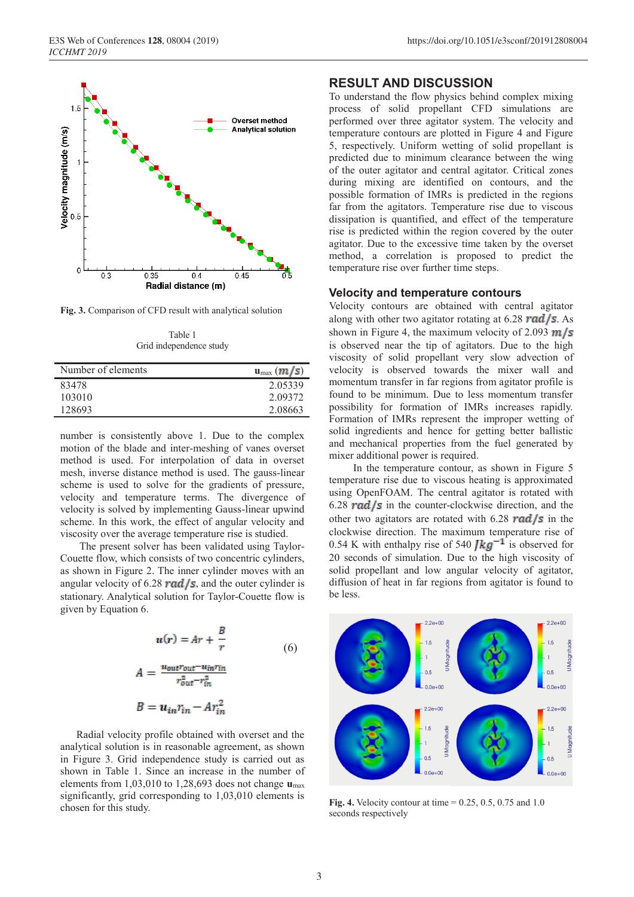

**Fig. 3.** Comparison of CFD result with analytical solution

Table 1 Grid independence study

| Number of elements | $\mathbf{u}_{\text{max}}(\mathbf{m}/s)$ |
|--------------------|-----------------------------------------|
| 83478              | 2.05339                                 |
| 103010             | 2.09372                                 |
| 128693             | 2.08663                                 |

number is consistently above 1. Due to the complex motion of the blade and inter-meshing of vanes overset method is used. For interpolation of data in overset mesh, inverse distance method is used. The gauss-linear scheme is used to solve for the gradients of pressure, velocity and temperature terms. The divergence of velocity is solved by implementing Gauss-linear upwind scheme. In this work, the effect of angular velocity and viscosity over the average temperature rise is studied.

The present solver has been validated using Taylor-Couette flow, which consists of two concentric cylinders, as shown in Figure 2. The inner cylinder moves with an angular velocity of 6.28  $rad/s$ , and the outer cylinder is stationary. Analytical solution for Taylor-Couette flow is given by Equation 6.

$$
u(r) = Ar + \frac{B}{r}
$$
  
(6)  

$$
A = \frac{u_{out}r_{out} - u_{in}r_{in}}{r_{out}^2 - r_{in}^2}
$$
  

$$
B = u_{in}r_{in} - Ar_{in}^2
$$

 Radial velocity profile obtained with overset and the analytical solution is in reasonable agreement, as shown in Figure 3. Grid independence study is carried out as shown in Table 1. Since an increase in the number of elements from 1,03,010 to 1,28,693 does not change **u**max significantly, grid corresponding to 1,03,010 elements is chosen for this study.

#### **RESULT AND DISCUSSION**

To understand the flow physics behind complex mixing process of solid propellant CFD simulations are performed over three agitator system. The velocity and temperature contours are plotted in Figure 4 and Figure 5, respectively. Uniform wetting of solid propellant is predicted due to minimum clearance between the wing of the outer agitator and central agitator. Critical zones during mixing are identified on contours, and the possible formation of IMRs is predicted in the regions far from the agitators. Temperature rise due to viscous dissipation is quantified, and effect of the temperature rise is predicted within the region covered by the outer agitator. Due to the excessive time taken by the overset method, a correlation is proposed to predict the temperature rise over further time steps.

#### **Velocity and temperature contours**

Velocity contours are obtained with central agitator along with other two agitator rotating at 6.28  $rad/s$ . As shown in Figure 4, the maximum velocity of 2.093  $m/s$ is observed near the tip of agitators. Due to the high viscosity of solid propellant very slow advection of velocity is observed towards the mixer wall and momentum transfer in far regions from agitator profile is found to be minimum. Due to less momentum transfer possibility for formation of IMRs increases rapidly. Formation of IMRs represent the improper wetting of solid ingredients and hence for getting better ballistic and mechanical properties from the fuel generated by mixer additional power is required.

In the temperature contour, as shown in Figure 5 temperature rise due to viscous heating is approximated using OpenFOAM. The central agitator is rotated with 6.28 **rad/s** in the counter-clockwise direction, and the other two agitators are rotated with 6.28  $rad/s$  in the clockwise direction. The maximum temperature rise of 0.54 K with enthalpy rise of 540  $\int \frac{kq^{-1}}{s}$  is observed for 20 seconds of simulation. Due to the high viscosity of solid propellant and low angular velocity of agitator, diffusion of heat in far regions from agitator is found to be less.



**Fig. 4.** Velocity contour at time = 0.25, 0.5, 0.75 and 1.0 seconds respectively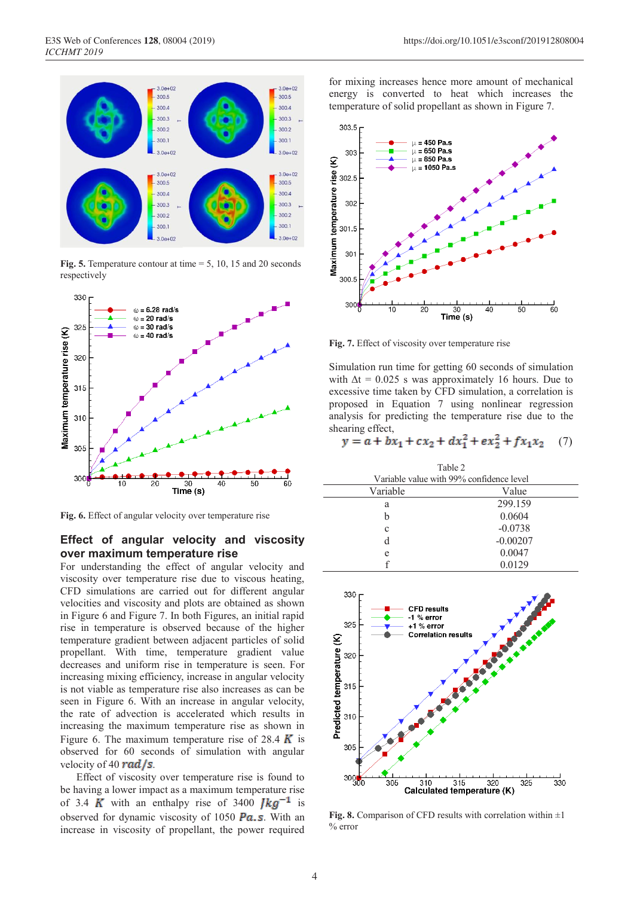

**Fig. 5.** Temperature contour at time = 5, 10, 15 and 20 seconds respectively



**Fig. 6.** Effect of angular velocity over temperature rise

#### **Effect of angular velocity and viscosity over maximum temperature rise**

For understanding the effect of angular velocity and viscosity over temperature rise due to viscous heating, CFD simulations are carried out for different angular velocities and viscosity and plots are obtained as shown in Figure 6 and Figure 7. In both Figures, an initial rapid rise in temperature is observed because of the higher temperature gradient between adjacent particles of solid propellant. With time, temperature gradient value decreases and uniform rise in temperature is seen. For increasing mixing efficiency, increase in angular velocity is not viable as temperature rise also increases as can be seen in Figure 6. With an increase in angular velocity, the rate of advection is accelerated which results in increasing the maximum temperature rise as shown in Figure 6. The maximum temperature rise of 28.4  $\boldsymbol{K}$  is observed for 60 seconds of simulation with angular velocity of 40  $rad/s$ .

 Effect of viscosity over temperature rise is found to be having a lower impact as a maximum temperature rise of 3.4 K with an enthalpy rise of 3400  $\mu$ g<sup>-1</sup> is observed for dynamic viscosity of 1050  $\overline{Pa}$ . S. With an increase in viscosity of propellant, the power required

for mixing increases hence more amount of mechanical energy is converted to heat which increases the temperature of solid propellant as shown in Figure 7.



**Fig. 7.** Effect of viscosity over temperature rise

Simulation run time for getting 60 seconds of simulation with  $\Delta t = 0.025$  s was approximately 16 hours. Due to excessive time taken by CFD simulation, a correlation is proposed in Equation 7 using nonlinear regression analysis for predicting the temperature rise due to the shearing effect,

$$
y = a + bx_1 + cx_2 + dx_1^2 + ex_2^2 + fx_1x_2 \quad (7)
$$

| Table 2                                  |            |  |  |
|------------------------------------------|------------|--|--|
| Variable value with 99% confidence level |            |  |  |
| Variable                                 | Value      |  |  |
| a                                        | 299.159    |  |  |
| h                                        | 0.0604     |  |  |
| c                                        | $-0.0738$  |  |  |
| d                                        | $-0.00207$ |  |  |
| e                                        | 0.0047     |  |  |
|                                          | 0.0129     |  |  |



**Fig. 8.** Comparison of CFD results with correlation within ±1 % error